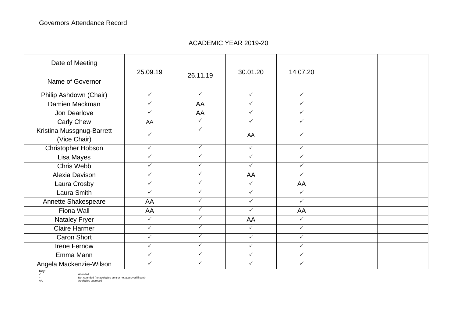## ACADEMIC YEAR 2019-20

| Date of Meeting                           | 25.09.19     | 26.11.19     | 30.01.20     | 14.07.20     |  |
|-------------------------------------------|--------------|--------------|--------------|--------------|--|
| Name of Governor                          |              |              |              |              |  |
| Philip Ashdown (Chair)                    | $\checkmark$ | $\checkmark$ | $\checkmark$ | $\checkmark$ |  |
| Damien Mackman                            | $\checkmark$ | AA           | $\checkmark$ | $\checkmark$ |  |
| Jon Dearlove                              | $\checkmark$ | AA           | $\checkmark$ | $\checkmark$ |  |
| <b>Carly Chew</b>                         | AA           | $\checkmark$ | $\checkmark$ | $\checkmark$ |  |
| Kristina Mussgnug-Barrett<br>(Vice Chair) | $\checkmark$ | $\checkmark$ | AA           | $\checkmark$ |  |
| Christopher Hobson                        | $\checkmark$ | $\checkmark$ | $\checkmark$ | $\checkmark$ |  |
| Lisa Mayes                                | $\checkmark$ | $\checkmark$ | $\checkmark$ | $\checkmark$ |  |
| Chris Webb                                | $\checkmark$ | $\checkmark$ | $\checkmark$ | $\checkmark$ |  |
| Alexia Davison                            | $\checkmark$ | $\checkmark$ | AA           | $\checkmark$ |  |
| Laura Crosby                              | $\checkmark$ | $\checkmark$ | $\checkmark$ | AA           |  |
| Laura Smith                               | $\checkmark$ | $\checkmark$ | $\checkmark$ | $\checkmark$ |  |
| Annette Shakespeare                       | AA           | $\checkmark$ | $\checkmark$ | $\checkmark$ |  |
| Fiona Wall                                | AA           | $\checkmark$ | $\checkmark$ | AA           |  |
| <b>Nataley Fryer</b>                      | $\checkmark$ | $\checkmark$ | AA           | $\checkmark$ |  |
| <b>Claire Harmer</b>                      | $\checkmark$ | $\checkmark$ | $\checkmark$ | $\checkmark$ |  |
| Caron Short                               | $\checkmark$ | $\checkmark$ | $\checkmark$ | $\checkmark$ |  |
| Irene Fernow                              | $\checkmark$ | $\checkmark$ | $\checkmark$ | $\checkmark$ |  |
| Emma Mann                                 | $\checkmark$ | $\checkmark$ | $\checkmark$ | $\checkmark$ |  |
| Angela Mackenzie-Wilson                   | $\checkmark$ | $\checkmark$ | ✓            | $\checkmark$ |  |

Key:

√ intended<br>A Attended (no apologies sent or not approved if sent)<br>AA Apologies approved